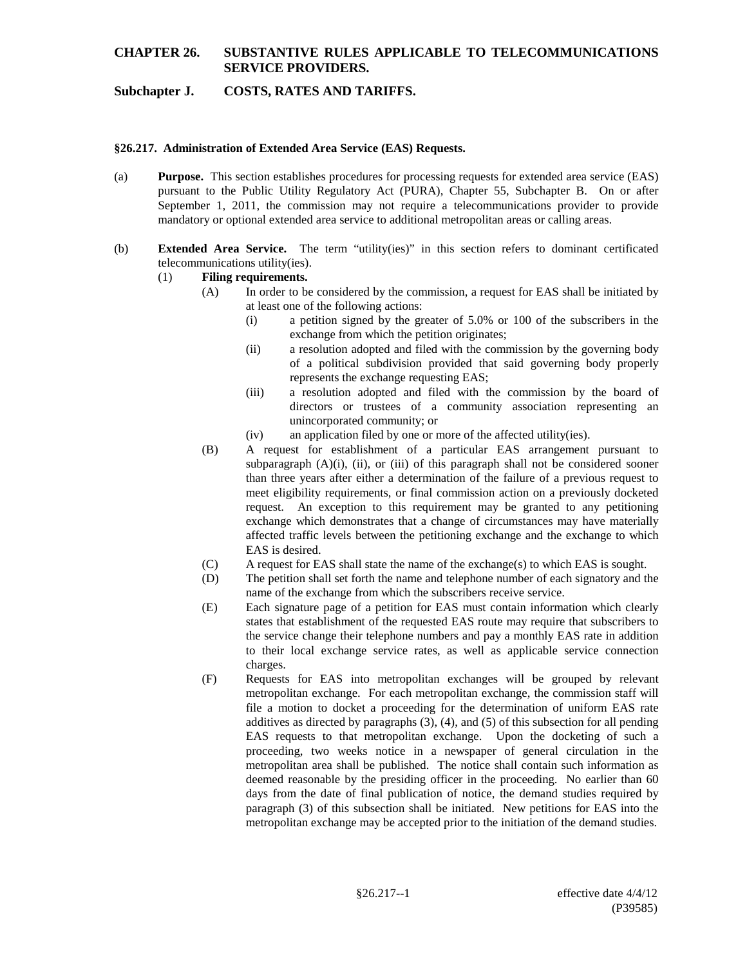# **Subchapter J. COSTS, RATES AND TARIFFS.**

#### **§26.217. Administration of Extended Area Service (EAS) Requests.**

- (a) **Purpose.** This section establishes procedures for processing requests for extended area service (EAS) pursuant to the Public Utility Regulatory Act (PURA), Chapter 55, Subchapter B. On or after September 1, 2011, the commission may not require a telecommunications provider to provide mandatory or optional extended area service to additional metropolitan areas or calling areas.
- (b) **Extended Area Service.** The term "utility(ies)" in this section refers to dominant certificated telecommunications utility(ies).

#### (1) **Filing requirements.**

- (A) In order to be considered by the commission, a request for EAS shall be initiated by at least one of the following actions:
	- (i) a petition signed by the greater of 5.0% or 100 of the subscribers in the exchange from which the petition originates;
	- (ii) a resolution adopted and filed with the commission by the governing body of a political subdivision provided that said governing body properly represents the exchange requesting EAS;
	- (iii) a resolution adopted and filed with the commission by the board of directors or trustees of a community association representing an unincorporated community; or
	- (iv) an application filed by one or more of the affected utility(ies).
- (B) A request for establishment of a particular EAS arrangement pursuant to subparagraph  $(A)(i)$ ,  $(ii)$ , or  $(iii)$  of this paragraph shall not be considered sooner than three years after either a determination of the failure of a previous request to meet eligibility requirements, or final commission action on a previously docketed request. An exception to this requirement may be granted to any petitioning exchange which demonstrates that a change of circumstances may have materially affected traffic levels between the petitioning exchange and the exchange to which EAS is desired.
- (C) A request for EAS shall state the name of the exchange(s) to which EAS is sought.
- (D) The petition shall set forth the name and telephone number of each signatory and the name of the exchange from which the subscribers receive service.
- (E) Each signature page of a petition for EAS must contain information which clearly states that establishment of the requested EAS route may require that subscribers to the service change their telephone numbers and pay a monthly EAS rate in addition to their local exchange service rates, as well as applicable service connection charges.
- (F) Requests for EAS into metropolitan exchanges will be grouped by relevant metropolitan exchange. For each metropolitan exchange, the commission staff will file a motion to docket a proceeding for the determination of uniform EAS rate additives as directed by paragraphs (3), (4), and (5) of this subsection for all pending EAS requests to that metropolitan exchange. Upon the docketing of such a proceeding, two weeks notice in a newspaper of general circulation in the metropolitan area shall be published. The notice shall contain such information as deemed reasonable by the presiding officer in the proceeding. No earlier than 60 days from the date of final publication of notice, the demand studies required by paragraph (3) of this subsection shall be initiated. New petitions for EAS into the metropolitan exchange may be accepted prior to the initiation of the demand studies.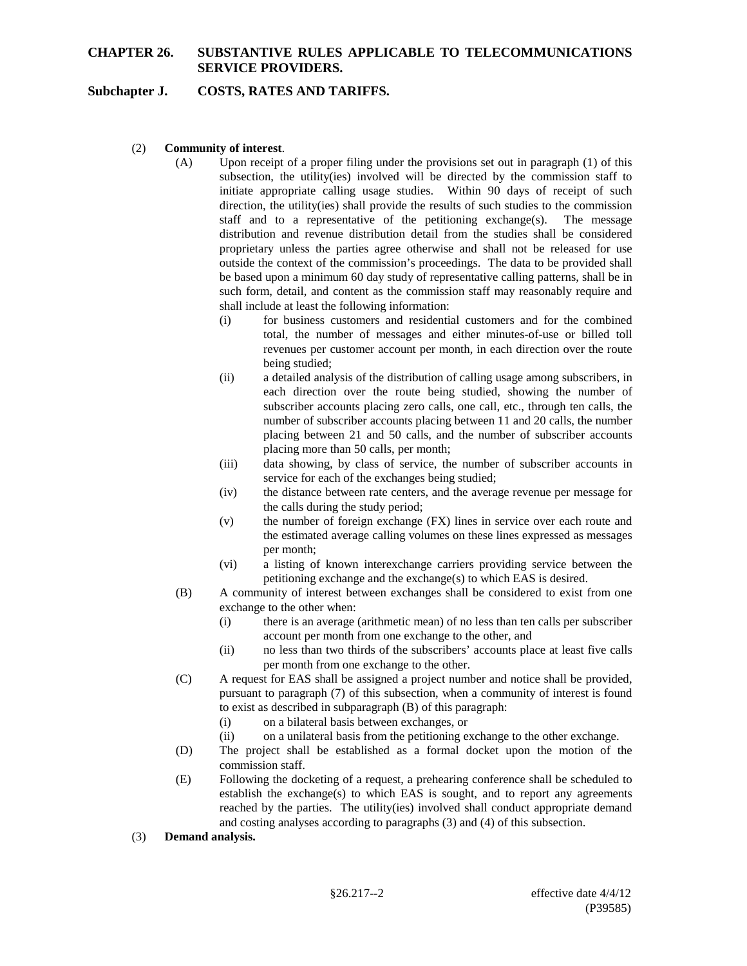### **Subchapter J. COSTS, RATES AND TARIFFS.**

- (2) **Community of interest**.
	- (A) Upon receipt of a proper filing under the provisions set out in paragraph (1) of this subsection, the utility(ies) involved will be directed by the commission staff to initiate appropriate calling usage studies. Within 90 days of receipt of such direction, the utility(ies) shall provide the results of such studies to the commission staff and to a representative of the petitioning exchange(s). The message distribution and revenue distribution detail from the studies shall be considered proprietary unless the parties agree otherwise and shall not be released for use outside the context of the commission's proceedings. The data to be provided shall be based upon a minimum 60 day study of representative calling patterns, shall be in such form, detail, and content as the commission staff may reasonably require and shall include at least the following information:
		- (i) for business customers and residential customers and for the combined total, the number of messages and either minutes-of-use or billed toll revenues per customer account per month, in each direction over the route being studied;
		- (ii) a detailed analysis of the distribution of calling usage among subscribers, in each direction over the route being studied, showing the number of subscriber accounts placing zero calls, one call, etc., through ten calls, the number of subscriber accounts placing between 11 and 20 calls, the number placing between 21 and 50 calls, and the number of subscriber accounts placing more than 50 calls, per month;
		- (iii) data showing, by class of service, the number of subscriber accounts in service for each of the exchanges being studied;
		- (iv) the distance between rate centers, and the average revenue per message for the calls during the study period;
		- (v) the number of foreign exchange (FX) lines in service over each route and the estimated average calling volumes on these lines expressed as messages per month;
		- (vi) a listing of known interexchange carriers providing service between the petitioning exchange and the exchange(s) to which EAS is desired.
	- (B) A community of interest between exchanges shall be considered to exist from one exchange to the other when:
		- (i) there is an average (arithmetic mean) of no less than ten calls per subscriber account per month from one exchange to the other, and
		- (ii) no less than two thirds of the subscribers' accounts place at least five calls per month from one exchange to the other.
	- (C) A request for EAS shall be assigned a project number and notice shall be provided, pursuant to paragraph (7) of this subsection, when a community of interest is found to exist as described in subparagraph (B) of this paragraph:
		- (i) on a bilateral basis between exchanges, or
		- (ii) on a unilateral basis from the petitioning exchange to the other exchange.
	- (D) The project shall be established as a formal docket upon the motion of the commission staff.
	- (E) Following the docketing of a request, a prehearing conference shall be scheduled to establish the exchange(s) to which EAS is sought, and to report any agreements reached by the parties. The utility(ies) involved shall conduct appropriate demand and costing analyses according to paragraphs (3) and (4) of this subsection.
- (3) **Demand analysis.**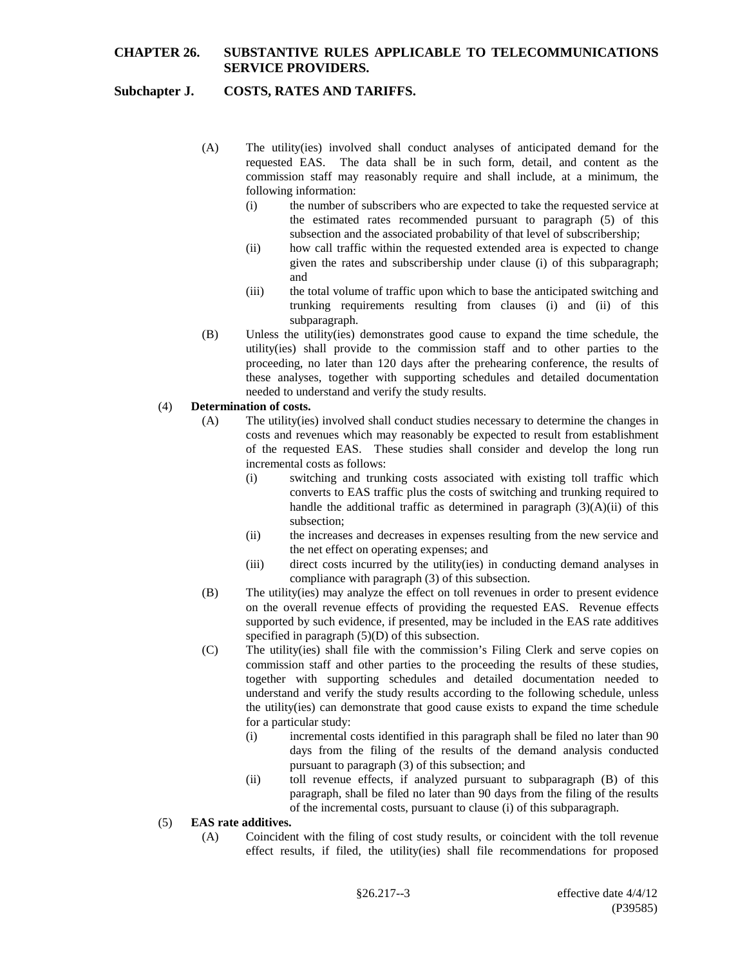## **Subchapter J. COSTS, RATES AND TARIFFS.**

- (A) The utility(ies) involved shall conduct analyses of anticipated demand for the requested EAS. The data shall be in such form, detail, and content as the commission staff may reasonably require and shall include, at a minimum, the following information:
	- (i) the number of subscribers who are expected to take the requested service at the estimated rates recommended pursuant to paragraph (5) of this subsection and the associated probability of that level of subscribership;
	- (ii) how call traffic within the requested extended area is expected to change given the rates and subscribership under clause (i) of this subparagraph; and
	- (iii) the total volume of traffic upon which to base the anticipated switching and trunking requirements resulting from clauses (i) and (ii) of this subparagraph.
- (B) Unless the utility(ies) demonstrates good cause to expand the time schedule, the utility(ies) shall provide to the commission staff and to other parties to the proceeding, no later than 120 days after the prehearing conference, the results of these analyses, together with supporting schedules and detailed documentation needed to understand and verify the study results.

#### (4) **Determination of costs.**

- (A) The utility(ies) involved shall conduct studies necessary to determine the changes in costs and revenues which may reasonably be expected to result from establishment of the requested EAS. These studies shall consider and develop the long run incremental costs as follows:
	- (i) switching and trunking costs associated with existing toll traffic which converts to EAS traffic plus the costs of switching and trunking required to handle the additional traffic as determined in paragraph  $(3)(A)(ii)$  of this subsection;
	- (ii) the increases and decreases in expenses resulting from the new service and the net effect on operating expenses; and
	- (iii) direct costs incurred by the utility(ies) in conducting demand analyses in compliance with paragraph (3) of this subsection.
- (B) The utility(ies) may analyze the effect on toll revenues in order to present evidence on the overall revenue effects of providing the requested EAS. Revenue effects supported by such evidence, if presented, may be included in the EAS rate additives specified in paragraph  $(5)(D)$  of this subsection.
- (C) The utility(ies) shall file with the commission's Filing Clerk and serve copies on commission staff and other parties to the proceeding the results of these studies, together with supporting schedules and detailed documentation needed to understand and verify the study results according to the following schedule, unless the utility(ies) can demonstrate that good cause exists to expand the time schedule for a particular study:
	- (i) incremental costs identified in this paragraph shall be filed no later than 90 days from the filing of the results of the demand analysis conducted pursuant to paragraph (3) of this subsection; and
	- (ii) toll revenue effects, if analyzed pursuant to subparagraph (B) of this paragraph, shall be filed no later than 90 days from the filing of the results of the incremental costs, pursuant to clause (i) of this subparagraph.

### (5) **EAS rate additives.**

(A) Coincident with the filing of cost study results, or coincident with the toll revenue effect results, if filed, the utility(ies) shall file recommendations for proposed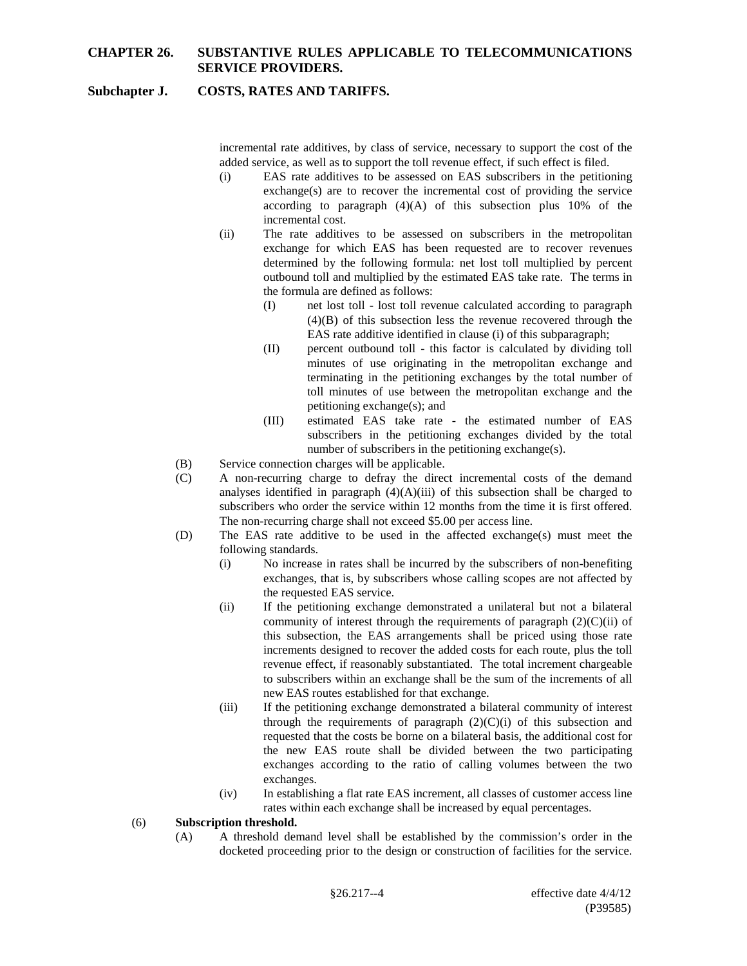### **Subchapter J. COSTS, RATES AND TARIFFS.**

incremental rate additives, by class of service, necessary to support the cost of the added service, as well as to support the toll revenue effect, if such effect is filed.

- (i) EAS rate additives to be assessed on EAS subscribers in the petitioning exchange(s) are to recover the incremental cost of providing the service according to paragraph  $(4)(A)$  of this subsection plus 10% of the incremental cost.
- (ii) The rate additives to be assessed on subscribers in the metropolitan exchange for which EAS has been requested are to recover revenues determined by the following formula: net lost toll multiplied by percent outbound toll and multiplied by the estimated EAS take rate. The terms in the formula are defined as follows:
	- (I) net lost toll lost toll revenue calculated according to paragraph (4)(B) of this subsection less the revenue recovered through the EAS rate additive identified in clause (i) of this subparagraph;
	- (II) percent outbound toll this factor is calculated by dividing toll minutes of use originating in the metropolitan exchange and terminating in the petitioning exchanges by the total number of toll minutes of use between the metropolitan exchange and the petitioning exchange(s); and
	- (III) estimated EAS take rate the estimated number of EAS subscribers in the petitioning exchanges divided by the total number of subscribers in the petitioning exchange(s).
- (B) Service connection charges will be applicable.
- (C) A non-recurring charge to defray the direct incremental costs of the demand analyses identified in paragraph  $(4)(A)(iii)$  of this subsection shall be charged to subscribers who order the service within 12 months from the time it is first offered. The non-recurring charge shall not exceed \$5.00 per access line.
- (D) The EAS rate additive to be used in the affected exchange(s) must meet the following standards.
	- (i) No increase in rates shall be incurred by the subscribers of non-benefiting exchanges, that is, by subscribers whose calling scopes are not affected by the requested EAS service.
	- (ii) If the petitioning exchange demonstrated a unilateral but not a bilateral community of interest through the requirements of paragraph  $(2)(C)(ii)$  of this subsection, the EAS arrangements shall be priced using those rate increments designed to recover the added costs for each route, plus the toll revenue effect, if reasonably substantiated. The total increment chargeable to subscribers within an exchange shall be the sum of the increments of all new EAS routes established for that exchange.
	- (iii) If the petitioning exchange demonstrated a bilateral community of interest through the requirements of paragraph  $(2)(C)(i)$  of this subsection and requested that the costs be borne on a bilateral basis, the additional cost for the new EAS route shall be divided between the two participating exchanges according to the ratio of calling volumes between the two exchanges.
	- (iv) In establishing a flat rate EAS increment, all classes of customer access line rates within each exchange shall be increased by equal percentages.

#### (6) **Subscription threshold.**

(A) A threshold demand level shall be established by the commission's order in the docketed proceeding prior to the design or construction of facilities for the service.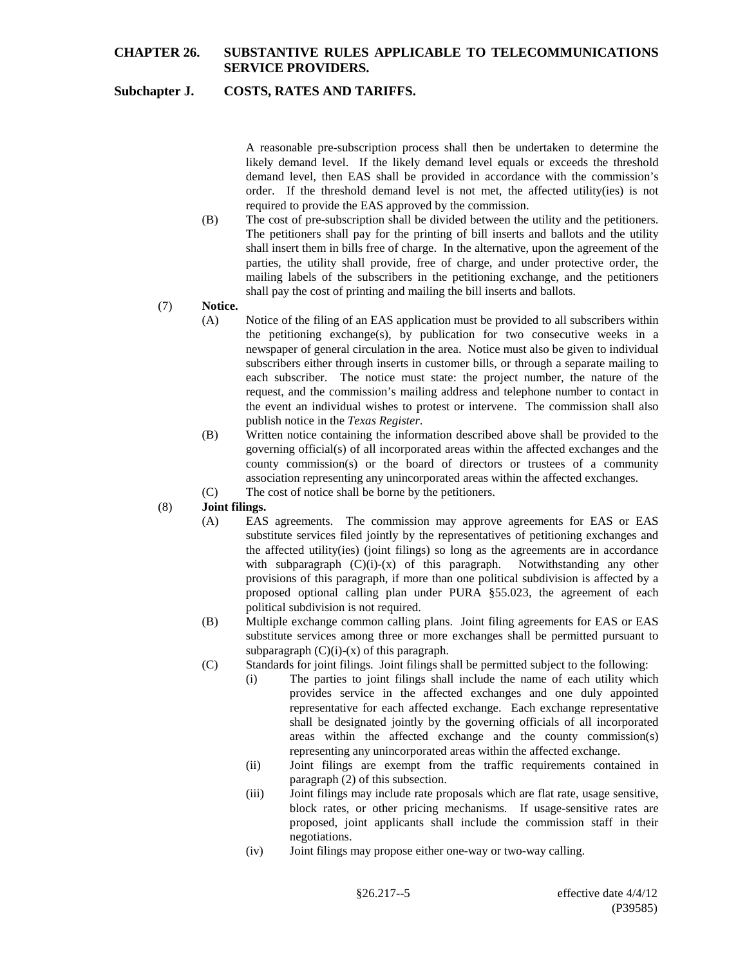# **Subchapter J. COSTS, RATES AND TARIFFS.**

A reasonable pre-subscription process shall then be undertaken to determine the likely demand level. If the likely demand level equals or exceeds the threshold demand level, then EAS shall be provided in accordance with the commission's order. If the threshold demand level is not met, the affected utility(ies) is not required to provide the EAS approved by the commission.

- (B) The cost of pre-subscription shall be divided between the utility and the petitioners. The petitioners shall pay for the printing of bill inserts and ballots and the utility shall insert them in bills free of charge. In the alternative, upon the agreement of the parties, the utility shall provide, free of charge, and under protective order, the mailing labels of the subscribers in the petitioning exchange, and the petitioners shall pay the cost of printing and mailing the bill inserts and ballots.
- (7) **Notice.**
	- (A) Notice of the filing of an EAS application must be provided to all subscribers within the petitioning exchange(s), by publication for two consecutive weeks in a newspaper of general circulation in the area. Notice must also be given to individual subscribers either through inserts in customer bills, or through a separate mailing to each subscriber. The notice must state: the project number, the nature of the request, and the commission's mailing address and telephone number to contact in the event an individual wishes to protest or intervene. The commission shall also publish notice in the *Texas Register*.
	- (B) Written notice containing the information described above shall be provided to the governing official(s) of all incorporated areas within the affected exchanges and the county commission(s) or the board of directors or trustees of a community association representing any unincorporated areas within the affected exchanges.
	- (C) The cost of notice shall be borne by the petitioners.

### (8) **Joint filings.**

- (A) EAS agreements. The commission may approve agreements for EAS or EAS substitute services filed jointly by the representatives of petitioning exchanges and the affected utility(ies) (joint filings) so long as the agreements are in accordance with subparagraph  $(C)(i)-(x)$  of this paragraph. Notwithstanding any other provisions of this paragraph, if more than one political subdivision is affected by a proposed optional calling plan under PURA §55.023, the agreement of each political subdivision is not required.
- (B) Multiple exchange common calling plans. Joint filing agreements for EAS or EAS substitute services among three or more exchanges shall be permitted pursuant to subparagraph  $(C)(i)-(x)$  of this paragraph.
- (C) Standards for joint filings. Joint filings shall be permitted subject to the following:
	- (i) The parties to joint filings shall include the name of each utility which provides service in the affected exchanges and one duly appointed representative for each affected exchange. Each exchange representative shall be designated jointly by the governing officials of all incorporated areas within the affected exchange and the county commission(s) representing any unincorporated areas within the affected exchange.
	- (ii) Joint filings are exempt from the traffic requirements contained in paragraph (2) of this subsection.
	- (iii) Joint filings may include rate proposals which are flat rate, usage sensitive, block rates, or other pricing mechanisms. If usage-sensitive rates are proposed, joint applicants shall include the commission staff in their negotiations.
	- (iv) Joint filings may propose either one-way or two-way calling.